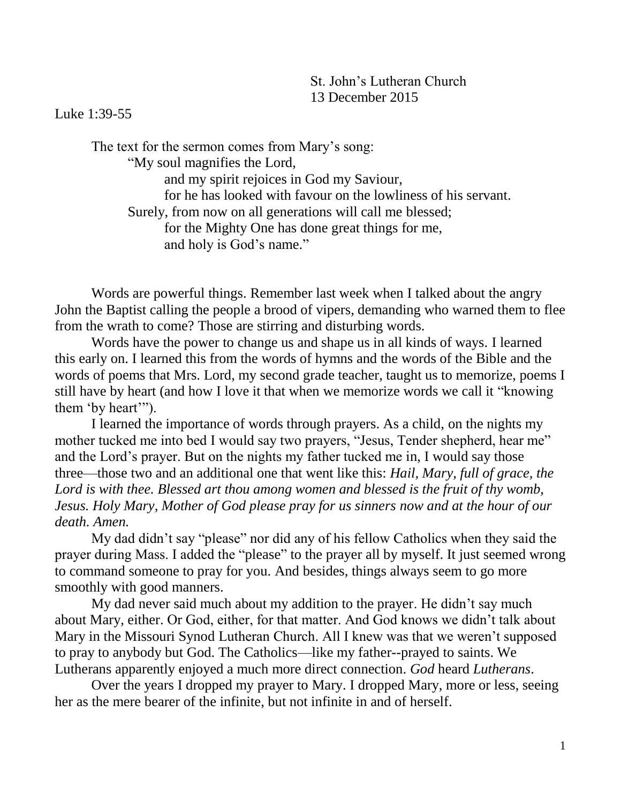## St. John's Lutheran Church 13 December 2015

## Luke 1:39-55

The text for the sermon comes from Mary's song: "My soul magnifies the Lord, and my spirit rejoices in God my Saviour, for he has looked with favour on the lowliness of his servant. Surely, from now on all generations will call me blessed; for the Mighty One has done great things for me, and holy is God's name."

Words are powerful things. Remember last week when I talked about the angry John the Baptist calling the people a brood of vipers, demanding who warned them to flee from the wrath to come? Those are stirring and disturbing words.

Words have the power to change us and shape us in all kinds of ways. I learned this early on. I learned this from the words of hymns and the words of the Bible and the words of poems that Mrs. Lord, my second grade teacher, taught us to memorize, poems I still have by heart (and how I love it that when we memorize words we call it "knowing them 'by heart'").

I learned the importance of words through prayers. As a child, on the nights my mother tucked me into bed I would say two prayers, "Jesus, Tender shepherd, hear me" and the Lord's prayer. But on the nights my father tucked me in, I would say those three—those two and an additional one that went like this: *Hail, Mary, full of grace, the*  Lord is with thee. Blessed art thou among women and blessed is the fruit of thy womb, *Jesus. Holy Mary, Mother of God please pray for us sinners now and at the hour of our death. Amen.*

My dad didn't say "please" nor did any of his fellow Catholics when they said the prayer during Mass. I added the "please" to the prayer all by myself. It just seemed wrong to command someone to pray for you. And besides, things always seem to go more smoothly with good manners.

My dad never said much about my addition to the prayer. He didn't say much about Mary, either. Or God, either, for that matter. And God knows we didn't talk about Mary in the Missouri Synod Lutheran Church. All I knew was that we weren't supposed to pray to anybody but God. The Catholics—like my father--prayed to saints. We Lutherans apparently enjoyed a much more direct connection. *God* heard *Lutherans*.

Over the years I dropped my prayer to Mary. I dropped Mary, more or less, seeing her as the mere bearer of the infinite, but not infinite in and of herself.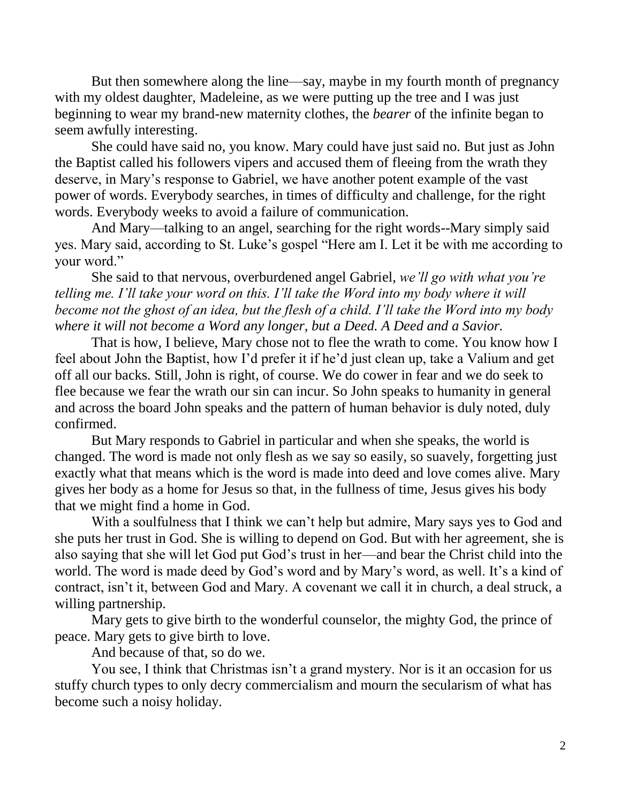But then somewhere along the line—say, maybe in my fourth month of pregnancy with my oldest daughter, Madeleine, as we were putting up the tree and I was just beginning to wear my brand-new maternity clothes, the *bearer* of the infinite began to seem awfully interesting.

She could have said no, you know. Mary could have just said no. But just as John the Baptist called his followers vipers and accused them of fleeing from the wrath they deserve, in Mary's response to Gabriel, we have another potent example of the vast power of words. Everybody searches, in times of difficulty and challenge, for the right words. Everybody weeks to avoid a failure of communication.

And Mary—talking to an angel, searching for the right words--Mary simply said yes. Mary said, according to St. Luke's gospel "Here am I. Let it be with me according to your word."

She said to that nervous, overburdened angel Gabriel, *we'll go with what you're telling me. I'll take your word on this. I'll take the Word into my body where it will become not the ghost of an idea, but the flesh of a child. I'll take the Word into my body where it will not become a Word any longer, but a Deed. A Deed and a Savior.*

That is how, I believe, Mary chose not to flee the wrath to come. You know how I feel about John the Baptist, how I'd prefer it if he'd just clean up, take a Valium and get off all our backs. Still, John is right, of course. We do cower in fear and we do seek to flee because we fear the wrath our sin can incur. So John speaks to humanity in general and across the board John speaks and the pattern of human behavior is duly noted, duly confirmed.

But Mary responds to Gabriel in particular and when she speaks, the world is changed. The word is made not only flesh as we say so easily, so suavely, forgetting just exactly what that means which is the word is made into deed and love comes alive. Mary gives her body as a home for Jesus so that, in the fullness of time, Jesus gives his body that we might find a home in God.

With a soulfulness that I think we can't help but admire, Mary says yes to God and she puts her trust in God. She is willing to depend on God. But with her agreement, she is also saying that she will let God put God's trust in her—and bear the Christ child into the world. The word is made deed by God's word and by Mary's word, as well. It's a kind of contract, isn't it, between God and Mary. A covenant we call it in church, a deal struck, a willing partnership.

Mary gets to give birth to the wonderful counselor, the mighty God, the prince of peace. Mary gets to give birth to love.

And because of that, so do we.

You see, I think that Christmas isn't a grand mystery. Nor is it an occasion for us stuffy church types to only decry commercialism and mourn the secularism of what has become such a noisy holiday.